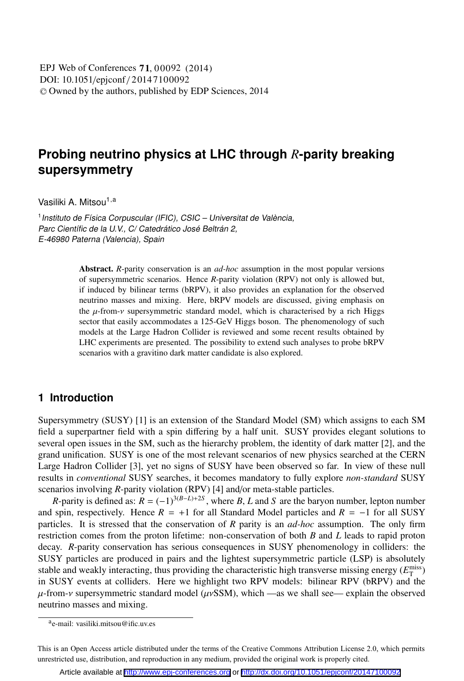DOI: 10.1051/epjconf / 20147100092 -<sup>C</sup> Owned by the authors, published by EDP Sciences, 2014 EPJ Web of Conferences **71**, 00092 (2014)

# **Probing neutrino physics at LHC through** *R***-parity breaking supersymmetry**

Vasiliki A. Mitsou<sup>1,a</sup>

<sup>1</sup> Instituto de Física Corpuscular (IFIC), CSIC - Universitat de València, Parc Científic de la U.V., C/ Catedrático José Beltrán 2, E-46980 Paterna (Valencia), Spain

> Abstract. *<sup>R</sup>*-parity conservation is an *ad-hoc* assumption in the most popular versions of supersymmetric scenarios. Hence *R*-parity violation (RPV) not only is allowed but, if induced by bilinear terms (bRPV), it also provides an explanation for the observed neutrino masses and mixing. Here, bRPV models are discussed, giving emphasis on the  $\mu$ -from- $\nu$  supersymmetric standard model, which is characterised by a rich Higgs sector that easily accommodates a 125-GeV Higgs boson. The phenomenology of such models at the Large Hadron Collider is reviewed and some recent results obtained by LHC experiments are presented. The possibility to extend such analyses to probe bRPV scenarios with a gravitino dark matter candidate is also explored.

## **1 Introduction**

Supersymmetry (SUSY) [1] is an extension of the Standard Model (SM) which assigns to each SM field a superpartner field with a spin differing by a half unit. SUSY provides elegant solutions to several open issues in the SM, such as the hierarchy problem, the identity of dark matter [2], and the grand unification. SUSY is one of the most relevant scenarios of new physics searched at the CERN Large Hadron Collider [3], yet no signs of SUSY have been observed so far. In view of these null results in *conventional* SUSY searches, it becomes mandatory to fully explore *non-standard* SUSY scenarios involving *R*-parity violation (RPV) [4] and/or meta-stable particles.

*R*-parity is defined as:  $R = (-1)^{3(B-L)+2S}$ , where *B*, *L* and *S* are the baryon number, lepton number and spin, respectively. Hence  $R = +1$  for all Standard Model particles and  $R = -1$  for all SUSY particles. It is stressed that the conservation of *R* parity is an *ad-hoc* assumption. The only firm restriction comes from the proton lifetime: non-conservation of both *B* and *L* leads to rapid proton decay. *R*-parity conservation has serious consequences in SUSY phenomenology in colliders: the SUSY particles are produced in pairs and the lightest supersymmetric particle (LSP) is absolutely stable and weakly interacting, thus providing the characteristic high transverse missing energy  $(E_{\text{T}}^{\text{miss}})$ in SUSY events at colliders. Here we highlight two RPV models: bilinear RPV (bRPV) and the  $\mu$ -from- $\nu$  supersymmetric standard model ( $\mu \nu$ SSM), which —as we shall see— explain the observed neutrino masses and mixing.

ae-mail: vasiliki.mitsou@ific.uv.es

This is an Open Access article distributed under the terms of the Creative Commons Attribution License 2.0, which permits unrestricted use, distribution, and reproduction in any medium, provided the original work is properly cited.

Article available at <http://www.epj-conferences.org> or <http://dx.doi.org/10.1051/epjconf/20147100092>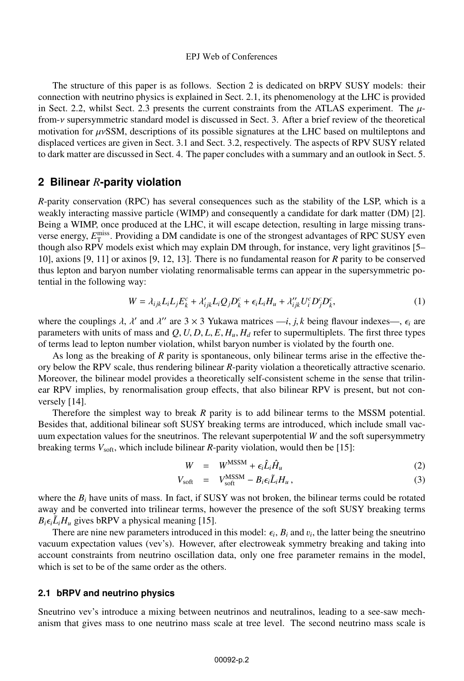The structure of this paper is as follows. Section 2 is dedicated on bRPV SUSY models: their connection with neutrino physics is explained in Sect. 2.1, its phenomenology at the LHC is provided in Sect. 2.2, whilst Sect. 2.3 presents the current constraints from the ATLAS experiment. The  $\mu$ from-ν supersymmetric standard model is discussed in Sect. 3. After a brief review of the theoretical motivation for  $\mu$ νSSM, descriptions of its possible signatures at the LHC based on multileptons and displaced vertices are given in Sect. 3.1 and Sect. 3.2, respectively. The aspects of RPV SUSY related to dark matter are discussed in Sect. 4. The paper concludes with a summary and an outlook in Sect. 5.

### **2 Bilinear** *R***-parity violation**

*R*-parity conservation (RPC) has several consequences such as the stability of the LSP, which is a weakly interacting massive particle (WIMP) and consequently a candidate for dark matter (DM) [2]. Being a WIMP, once produced at the LHC, it will escape detection, resulting in large missing transverse energy,  $E_{\text{T}}^{\text{miss}}$ . Providing a DM candidate is one of the strongest advantages of RPC SUSY even though also RPV models exist which may explain DM through, for instance, very light gravitinos [5– 10], axions [9, 11] or axinos [9, 12, 13]. There is no fundamental reason for *R* parity to be conserved thus lepton and baryon number violating renormalisable terms can appear in the supersymmetric potential in the following way:

$$
W = \lambda_{ijk} L_i L_j E_k^c + \lambda'_{ijk} L_i Q_j D_k^c + \epsilon_i L_i H_u + \lambda''_{ijk} U_i^c D_j^c D_k^c,
$$
\n<sup>(1)</sup>

where the couplings  $\lambda$ ,  $\lambda'$  and  $\lambda''$  are  $3 \times 3$  Yukawa matrices  $-i$ ,  $j$ ,  $k$  being flavour indexes—,  $\epsilon_i$  are parameters with units of mass and  $Q$ ,  $U$ ,  $D$ ,  $L$ ,  $E$ ,  $H_u$ ,  $H_d$  refer to supermultiplets. The first three types of terms lead to lepton number violation, whilst baryon number is violated by the fourth one.

As long as the breaking of *R* parity is spontaneous, only bilinear terms arise in the effective theory below the RPV scale, thus rendering bilinear *R*-parity violation a theoretically attractive scenario. Moreover, the bilinear model provides a theoretically self-consistent scheme in the sense that trilinear RPV implies, by renormalisation group effects, that also bilinear RPV is present, but not conversely [14].

Therefore the simplest way to break *R* parity is to add bilinear terms to the MSSM potential. Besides that, additional bilinear soft SUSY breaking terms are introduced, which include small vacuum expectation values for the sneutrinos. The relevant superpotential *W* and the soft supersymmetry breaking terms  $V_{\text{soft}}$ , which include bilinear *R*-parity violation, would then be [15]:

$$
W = W^{\text{MSSM}} + \epsilon_i \hat{L}_i \hat{H}_u \tag{2}
$$

$$
V_{\text{soft}} = V_{\text{soft}}^{\text{MSSM}} - B_i \epsilon_i \tilde{L}_i H_u, \qquad (3)
$$

where the  $B_i$  have units of mass. In fact, if SUSY was not broken, the bilinear terms could be rotated away and be converted into trilinear terms, however the presence of the soft SUSY breaking terms  $B_i \epsilon_i L_i H_u$  gives bRPV a physical meaning [15].

There are nine new parameters introduced in this model:  $\epsilon_i$ ,  $B_i$  and  $v_i$ , the latter being the sneutrino vacuum expectation values (vev's). However, after electroweak symmetry breaking and taking into account constraints from neutrino oscillation data, only one free parameter remains in the model, which is set to be of the same order as the others.

#### **2.1 bRPV and neutrino physics**

Sneutrino vev's introduce a mixing between neutrinos and neutralinos, leading to a see-saw mechanism that gives mass to one neutrino mass scale at tree level. The second neutrino mass scale is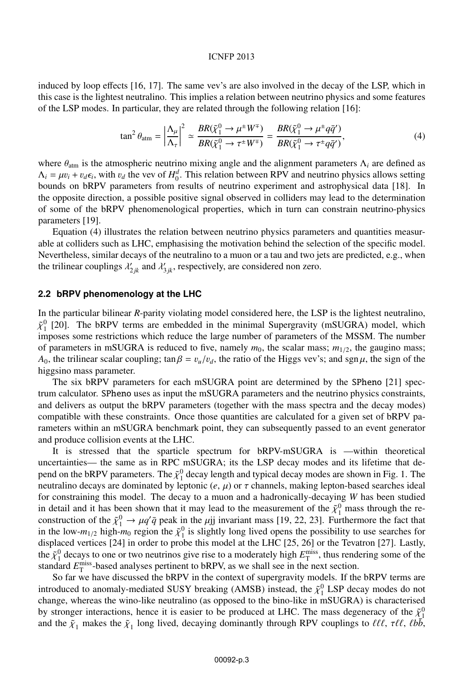induced by loop effects [16, 17]. The same vev's are also involved in the decay of the LSP, which in this case is the lightest neutralino. This implies a relation between neutrino physics and some features of the LSP modes. In particular, they are related through the following relation [16]:

$$
\tan^2 \theta_{\text{atm}} = \left| \frac{\Lambda_\mu}{\Lambda_\tau} \right|^2 \simeq \frac{BR(\tilde{\chi}_1^0 \to \mu^\pm W^\mp)}{BR(\tilde{\chi}_1^0 \to \tau^\pm W^\mp)} = \frac{BR(\tilde{\chi}_1^0 \to \mu^\pm q\bar{q}')}{BR(\tilde{\chi}_1^0 \to \tau^\pm q\bar{q}')},\tag{4}
$$

where  $\theta_{\text{atm}}$  is the atmospheric neutrino mixing angle and the alignment parameters  $\Lambda_i$  are defined as  $\Lambda_i = \mu v_i + v_d \epsilon_i$ , with  $v_d$  the vev of  $H_0^d$ . This relation between RPV and neutrino physics allows setting bounds on bRPV parameters from results of neutrino experiment and astrophysical data [18]. In the opposite direction, a possible positive signal observed in colliders may lead to the determination of some of the bRPV phenomenological properties, which in turn can constrain neutrino-physics parameters [19].

Equation (4) illustrates the relation between neutrino physics parameters and quantities measurable at colliders such as LHC, emphasising the motivation behind the selection of the specific model. Nevertheless, similar decays of the neutralino to a muon or a tau and two jets are predicted, e.g., when the trilinear couplings  $\lambda'_{2jk}$  and  $\lambda'_{3jk}$ , respectively, are considered non zero.

#### **2.2 bRPV phenomenology at the LHC**

In the particular bilinear *R*-parity violating model considered here, the LSP is the lightest neutralino,  $\tilde{\chi}_1^0$  [20]. The bRPV terms are embedded in the minimal Supergravity (mSUGRA) model, which imposes some restrictions which reduce the large number of parameters of the MSSM. The number of parameters in mSUGRA is reduced to five, namely  $m_0$ , the scalar mass;  $m_{1/2}$ , the gaugino mass; *A*<sub>0</sub>, the trilinear scalar coupling; tan  $\beta = v_u/v_d$ , the ratio of the Higgs vev's; and sgn  $\mu$ , the sign of the higgsino mass parameter.

The six bRPV parameters for each mSUGRA point are determined by the SPheno [21] spectrum calculator. SPheno uses as input the mSUGRA parameters and the neutrino physics constraints, and delivers as output the bRPV parameters (together with the mass spectra and the decay modes) compatible with these constraints. Once those quantities are calculated for a given set of bRPV parameters within an mSUGRA benchmark point, they can subsequently passed to an event generator and produce collision events at the LHC.

It is stressed that the sparticle spectrum for bRPV-mSUGRA is —within theoretical uncertainties— the same as in RPC mSUGRA; its the LSP decay modes and its lifetime that depend on the bRPV parameters. The  $\tilde{\chi}_1^0$  decay length and typical decay modes are shown in Fig. 1. The neutralino decays are dominated by leptonic  $(e, \mu)$  or  $\tau$  channels, making lepton-based searches ideal for constraining this model. The decay to a muon and a hadronically-decaying *W* has been studied in detail and it has been shown that it may lead to the measurement of the  $\tilde{\chi}_1^0$  mass through the reconstruction of the  $\tilde{\chi}_1^0 \to \mu q' \bar{q}$  peak in the  $\mu$ jj invariant mass [19, 22, 23]. Furthermore the fact that in the low- $m_{1/2}$  high- $m_0$  region the  $\tilde{\chi}_1^0$  is slightly long lived opens the possibility to use searches for displaced vertices [24] in order to probe this model at the LHC [25, 26] or the Tevatron [27]. Lastly, the  $\tilde{\chi}^0_1$  decays to one or two neutrinos give rise to a moderately high  $E_T^{\text{miss}}$ , thus rendering some of the standard  $E_{\text{T}}^{\text{miss}}$ -based analyses pertinent to bRPV, as we shall see in the next section.

So far we have discussed the bRPV in the context of supergravity models. If the bRPV terms are introduced to anomaly-mediated SUSY breaking (AMSB) instead, the  $\tilde{\chi}_1^0$  LSP decay modes do not change, whereas the wino-like neutralino (as opposed to the bino-like in mSUGRA) is characterised by stronger interactions, hence it is easier to be produced at LHC. The mass degeneracy of the  $\tilde{\chi}^0_1$ and the  $\tilde{\chi}_1$  makes the  $\tilde{\chi}_1$  long lived, decaying dominantly through RPV couplings to  $\ell\ell\ell$ ,  $\tau\ell\ell$ ,  $\ell b\bar{b}$ ,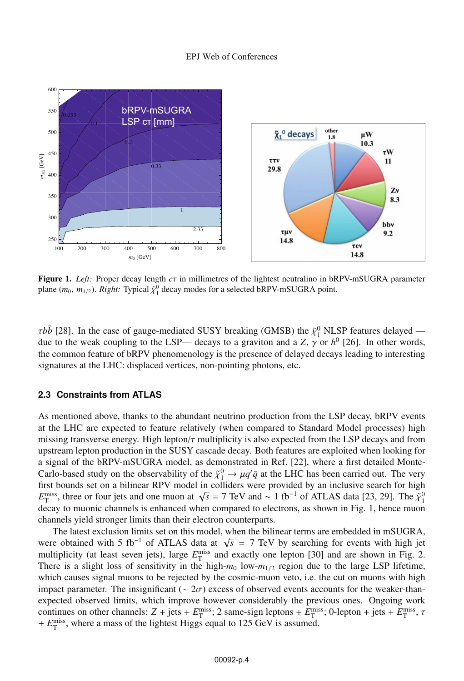

Figure 1. *Left:* Proper decay length *<sup>c</sup>*<sup>τ</sup> in millimetres of the lightest neutralino in bRPV-mSUGRA parameter plane  $(m_0, m_{1/2})$ . *Right:* Typical  $\tilde{\chi}_1^0$  decay modes for a selected bRPV-mSUGRA point.

 $\tau b\bar{b}$  [28]. In the case of gauge-mediated SUSY breaking (GMSB) the  $\tilde{\chi}^0_1$  NLSP features delayed due to the weak coupling to the LSP— decays to a graviton and a *Z*,  $\gamma$  or  $h^0$  [26]. In other words, the common feature of bRPV phenomenology is the presence of delayed decays leading to interesting signatures at the LHC: displaced vertices, non-pointing photons, etc.

#### **2.3 Constraints from ATLAS**

As mentioned above, thanks to the abundant neutrino production from the LSP decay, bRPV events at the LHC are expected to feature relatively (when compared to Standard Model processes) high missing transverse energy. High lepton/ $\tau$  multiplicity is also expected from the LSP decays and from upstream lepton production in the SUSY cascade decay. Both features are exploited when looking for a signal of the bRPV-mSUGRA model, as demonstrated in Ref. [22], where a first detailed Monte-Carlo-based study on the observability of the  $\tilde{\chi}_1^0 \to \mu q' \bar{q}$  at the LHC has been carried out. The very first bounds set on a bilinear RPV model in colliders were provided by an inclusive search for high  $E_T^{\text{miss}}$ , three or four jets and one muon at  $\sqrt{s} = 7 \text{ TeV}$  and ~ 1 fb<sup>-1</sup> of ATLAS data [23, 29]. The  $\tilde{\chi}^0_1$ decay to muonic channels is enhanced when compared to electrons, as shown in Fig. 1, hence muon channels yield stronger limits than their electron counterparts.

The latest exclusion limits set on this model, when the bilinear terms are embedded in mSUGRA, were obtained with 5 fb<sup>-1</sup> of ATLAS data at  $\sqrt{s}$  = 7 TeV by searching for events with high jet multiplicity (at least seven jets), large  $E_T^{\text{miss}}$  and exactly one lepton [30] and are shown in Fig. 2. There is a slight loss of sensitivity in the high- $m_0$  low- $m_{1/2}$  region due to the large LSP lifetime, which causes signal muons to be rejected by the cosmic-muon veto, i.e. the cut on muons with high impact parameter. The insignificant ( $\sim 2\sigma$ ) excess of observed events accounts for the weaker-thanexpected observed limits, which improve however considerably the previous ones. Ongoing work continues on other channels:  $Z + \text{jets} + E_T^{\text{miss}}$ ; 2 same-sign leptons +  $E_T^{\text{miss}}$ ; 0-lepton + jets +  $E_T^{\text{miss}}$ ,  $\tau$ +  $E_{\rm T}^{\rm miss}$ , where a mass of the lightest Higgs equal to 125 GeV is assumed.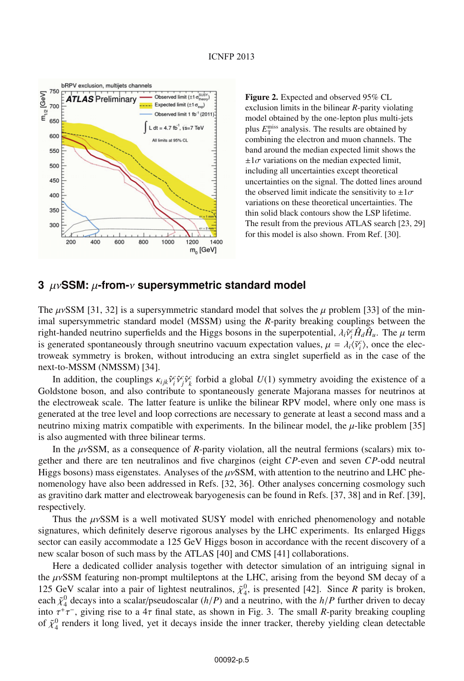

Figure 2. Expected and observed 95% CL exclusion limits in the bilinear *R*-parity violating model obtained by the one-lepton plus multi-jets plus  $E_{\text{T}}^{\text{miss}}$  analysis. The results are obtained by combining the electron and muon channels. The band around the median expected limit shows the  $\pm 1\sigma$  variations on the median expected limit, including all uncertainties except theoretical uncertainties on the signal. The dotted lines around the observed limit indicate the sensitivity to  $\pm 1\sigma$ variations on these theoretical uncertainties. The thin solid black contours show the LSP lifetime. The result from the previous ATLAS search [23, 29] for this model is also shown. From Ref. [30].

### **3** μν**SSM:** μ**-from-**ν **supersymmetric standard model**

The  $\mu$ vSSM [31, 32] is a supersymmetric standard model that solves the  $\mu$  problem [33] of the minimal supersymmetric standard model (MSSM) using the *R*-parity breaking couplings between the right-handed neutrino superfields and the Higgs bosons in the superpotential,  $\lambda_i \hat{v}_i^c \hat{H}_d \hat{H}_u$ . The  $\mu$  term is generated spontaneously through sneutrino vacuum expectation values,  $\mu = \lambda_i \langle \tilde{v}_i^c \rangle$ , once the electroweak symmetry is broken, without introducing an extra singlet superfield as in the case of the next-to-MSSM (NMSSM) [34].

In addition, the couplings  $\kappa_{ijk}\hat{v}_i^c\hat{v}_j^c\hat{v}_k^c$  forbid a global  $U(1)$  symmetry avoiding the existence of a Goldstone boson, and also contribute to spontaneously generate Majorana masses for neutrinos at the electroweak scale. The latter feature is unlike the bilinear RPV model, where only one mass is generated at the tree level and loop corrections are necessary to generate at least a second mass and a neutrino mixing matrix compatible with experiments. In the bilinear model, the  $\mu$ -like problem [35] is also augmented with three bilinear terms.

In the μνSSM, as a consequence of *R*-parity violation, all the neutral fermions (scalars) mix together and there are ten neutralinos and five charginos (eight *CP*-even and seven *CP*-odd neutral Higgs bosons) mass eigenstates. Analyses of the  $\mu$ vSSM, with attention to the neutrino and LHC phenomenology have also been addressed in Refs. [32, 36]. Other analyses concerning cosmology such as gravitino dark matter and electroweak baryogenesis can be found in Refs. [37, 38] and in Ref. [39], respectively.

Thus the  $\mu\nu$ SSM is a well motivated SUSY model with enriched phenomenology and notable signatures, which definitely deserve rigorous analyses by the LHC experiments. Its enlarged Higgs sector can easily accommodate a 125 GeV Higgs boson in accordance with the recent discovery of a new scalar boson of such mass by the ATLAS [40] and CMS [41] collaborations.

Here a dedicated collider analysis together with detector simulation of an intriguing signal in the  $\mu$ vSSM featuring non-prompt multileptons at the LHC, arising from the beyond SM decay of a 125 GeV scalar into a pair of lightest neutralinos,  $\tilde{\chi}^0_4$ , is presented [42]. Since *R* parity is broken, each  $\tilde{\chi}_4^0$  decays into a scalar/pseudoscalar  $(h/P)$  and a neutrino, with the  $h/P$  further driven to decay into  $\tau^+\tau^-$ , giving rise to a 4 $\tau$  final state, as shown in Fig. 3. The small *R*-parity breaking coupling of  $\tilde{\chi}^0_4$  renders it long lived, yet it decays inside the inner tracker, thereby yielding clean detectable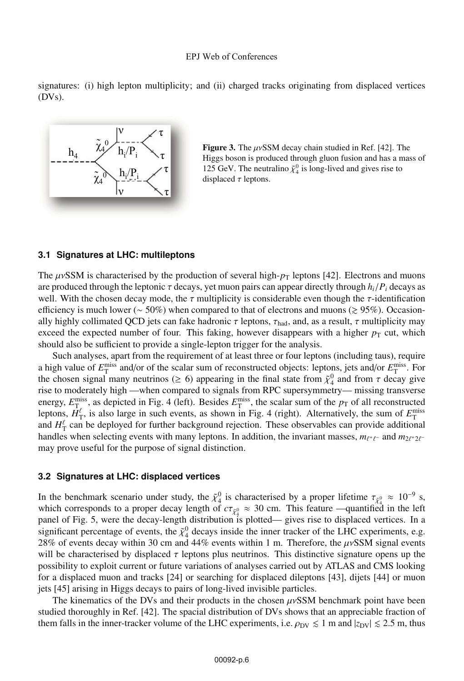signatures: (i) high lepton multiplicity; and (ii) charged tracks originating from displaced vertices (DVs).



**Figure 3.** The  $\mu$ *vSSM* decay chain studied in Ref. [42]. The Higgs boson is produced through gluon fusion and has a mass of 125 GeV. The neutralino  $\tilde{\chi}_4^0$  is long-lived and gives rise to displaced  $\tau$  leptons.

### **3.1 Signatures at LHC: multileptons**

The  $\mu$ *vSSM* is characterised by the production of several high- $p_T$  leptons [42]. Electrons and muons are produced through the leptonic  $\tau$  decays, yet muon pairs can appear directly through  $h_i/P_i$  decays as well. With the chosen decay mode, the  $\tau$  multiplicity is considerable even though the  $\tau$ -identification efficiency is much lower ( $\sim$  50%) when compared to that of electrons and muons ( $\gtrsim$  95%). Occasionally highly collimated QCD jets can fake hadronic  $\tau$  leptons,  $\tau_{\text{had}}$ , and, as a result,  $\tau$  multiplicity may exceed the expected number of four. This faking, however disappears with a higher  $p<sub>T</sub>$  cut, which should also be sufficient to provide a single-lepton trigger for the analysis.

Such analyses, apart from the requirement of at least three or four leptons (including taus), require a high value of  $E_T^{\text{miss}}$  and/or of the scalar sum of reconstructed objects: leptons, jets and/or  $E_T^{\text{miss}}$ . For the chosen signal many neutrinos ( $\geq 6$ ) appearing in the final state from  $\tilde{\chi}_4^0$  and from  $\tau$  decay give rise to moderately high —when compared to signals from RPC supersymmetry— missing transverse energy,  $E_{\text{T}_{e}}^{\text{miss}}$ , as depicted in Fig. 4 (left). Besides  $E_{\text{T}}^{\text{miss}}$ , the scalar sum of the  $p_{\text{T}}$  of all reconstructed leptons,  $H_T^{\ell}$ , is also large in such events, as shown in Fig. 4 (right). Alternatively, the sum of  $E_T^{\text{miss}}$  and  $H_T^{\ell}$  can be deployed for further background rejection. These observables can provide additional handles when selecting events with many leptons. In addition, the invariant masses,  $m_{\ell^+\ell^-}$  and  $m_{2\ell^+2\ell^-}$ may prove useful for the purpose of signal distinction.

#### **3.2 Signatures at LHC: displaced vertices**

In the benchmark scenario under study, the  $\tilde{\chi}_4^0$  is characterised by a proper lifetime  $\tau_{\tilde{\chi}_4^0} \approx 10^{-9}$  s, which corresponds to a proper decay length of  $c\tau_{\tilde{\chi}^0_4} \approx 30$  cm. This feature —quantified in the left panel of Fig. 5, were the decay-length distribution is plotted— gives rise to displaced vertices. In a significant percentage of events, the  $\tilde{\chi}^0_4$  decays inside the inner tracker of the LHC experiments, e.g. 28% of events decay within 30 cm and 44% events within 1 m. Therefore, the  $\mu$ vSSM signal events will be characterised by displaced  $\tau$  leptons plus neutrinos. This distinctive signature opens up the possibility to exploit current or future variations of analyses carried out by ATLAS and CMS looking for a displaced muon and tracks [24] or searching for displaced dileptons [43], dijets [44] or muon jets [45] arising in Higgs decays to pairs of long-lived invisible particles.

The kinematics of the DVs and their products in the chosen  $\mu$ vSSM benchmark point have been studied thoroughly in Ref. [42]. The spacial distribution of DVs shows that an appreciable fraction of them falls in the inner-tracker volume of the LHC experiments, i.e.  $\rho_{\text{DV}} \leq 1$  m and  $|z_{\text{DV}}| \leq 2.5$  m, thus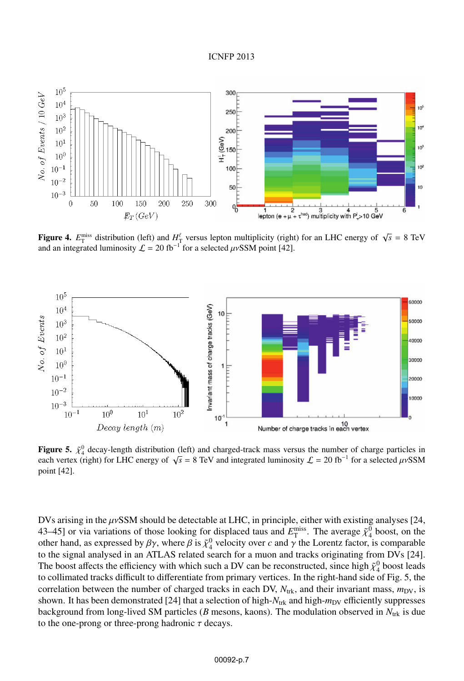

**Figure 4.**  $E_T^{\text{miss}}$  distribution (left) and  $H_T^{\ell}$  versus lepton multiplicity (right) for an LHC energy of  $\sqrt{s} = 8 \text{ TeV}$ <br>and an integrated luminosity  $\ell = 20 \text{ fb}^{-1}$  for a selected *u* SSM point [42] and an integrated luminosity  $\mathcal{L} = 20$  fb<sup>-1</sup> for a selected  $\mu \nu$ SSM point [42].



**Figure 5.**  $\tilde{\chi}^0_4$  decay-length distribution (left) and charged-track mass versus the number of charge particles in each vertex (right) for LHC energy of  $\sqrt{s} - 8$  TeV and integrated luminosity  $f = 20$  fb<sup>-1</sup> for a each vertex (right) for LHC energy of  $\sqrt{s} = 8$  TeV and integrated luminosity  $\mathcal{L} = 20$  fb<sup>-1</sup> for a selected  $\mu$ vSSM point [42].

DVs arising in the  $\mu$ vSSM should be detectable at LHC, in principle, either with existing analyses [24, 43–45] or via variations of those looking for displaced taus and  $E_T^{\text{miss}}$ . The average  $\tilde{\chi}_4^0$  boost, on the other hand, as expressed by  $\beta\gamma$ , where  $\beta$  is  $\tilde{\chi}^0_4$  velocity over *c* and  $\gamma$  the Lorentz factor, is comparable to the signal analysed in an ATLAS related search for a muon and tracks originating from DVs [24]. The boost affects the efficiency with which such a DV can be reconstructed, since high  $\tilde{\chi}^0_4$  boost leads to collimated tracks difficult to differentiate from primary vertices. In the right-hand side of Fig. 5, the correlation between the number of charged tracks in each DV,  $N_{\text{trk}}$ , and their invariant mass,  $m_{\text{DV}}$ , is shown. It has been demonstrated [24] that a selection of high- $N_{trk}$  and high- $m_{DV}$  efficiently suppresses background from long-lived SM particles ( $B$  mesons, kaons). The modulation observed in  $N_{\text{trk}}$  is due to the one-prong or three-prong hadronic  $\tau$  decays.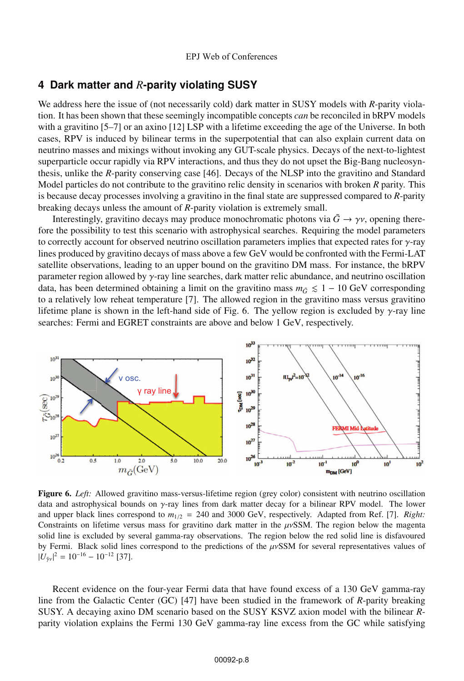### **4 Dark matter and** *R***-parity violating SUSY**

We address here the issue of (not necessarily cold) dark matter in SUSY models with *R*-parity violation. It has been shown that these seemingly incompatible concepts *can* be reconciled in bRPV models with a gravitino [5–7] or an axino [12] LSP with a lifetime exceeding the age of the Universe. In both cases, RPV is induced by bilinear terms in the superpotential that can also explain current data on neutrino masses and mixings without invoking any GUT-scale physics. Decays of the next-to-lightest superparticle occur rapidly via RPV interactions, and thus they do not upset the Big-Bang nucleosynthesis, unlike the *R*-parity conserving case [46]. Decays of the NLSP into the gravitino and Standard Model particles do not contribute to the gravitino relic density in scenarios with broken *R* parity. This is because decay processes involving a gravitino in the final state are suppressed compared to *R*-parity breaking decays unless the amount of *R*-parity violation is extremely small.

Interestingly, gravitino decays may produce monochromatic photons via  $\tilde{G} \rightarrow \gamma v$ , opening therefore the possibility to test this scenario with astrophysical searches. Requiring the model parameters to correctly account for observed neutrino oscillation parameters implies that expected rates for γ-ray lines produced by gravitino decays of mass above a few GeV would be confronted with the Fermi-LAT satellite observations, leading to an upper bound on the gravitino DM mass. For instance, the bRPV parameter region allowed by  $\gamma$ -ray line searches, dark matter relic abundance, and neutrino oscillation data, has been determined obtaining a limit on the gravitino mass  $m_{\tilde{G}} \leq 1 - 10$  GeV corresponding to a relatively low reheat temperature [7]. The allowed region in the gravitino mass versus gravitino lifetime plane is shown in the left-hand side of Fig. 6. The yellow region is excluded by  $\gamma$ -ray line searches: Fermi and EGRET constraints are above and below 1 GeV, respectively.



Figure 6. *Left:* Allowed gravitino mass-versus-lifetime region (grey color) consistent with neutrino oscillation data and astrophysical bounds on γ-ray lines from dark matter decay for a bilinear RPV model. The lower and upper black lines correspond to  $m_{1/2} = 240$  and 3000 GeV, respectively. Adapted from Ref. [7]. *Right:* Constraints on lifetime versus mass for gravitino dark matter in the  $\mu\nu$ SSM. The region below the magenta solid line is excluded by several gamma-ray observations. The region below the red solid line is disfavoured by Fermi. Black solid lines correspond to the predictions of the  $\mu$ vSSM for several representatives values of  $|U_{\tilde{\gamma}v}|^2 = 10^{-16} - 10^{-12}$  [37].

Recent evidence on the four-year Fermi data that have found excess of a 130 GeV gamma-ray line from the Galactic Center (GC) [47] have been studied in the framework of *R*-parity breaking SUSY. A decaying axino DM scenario based on the SUSY KSVZ axion model with the bilinear *R*parity violation explains the Fermi 130 GeV gamma-ray line excess from the GC while satisfying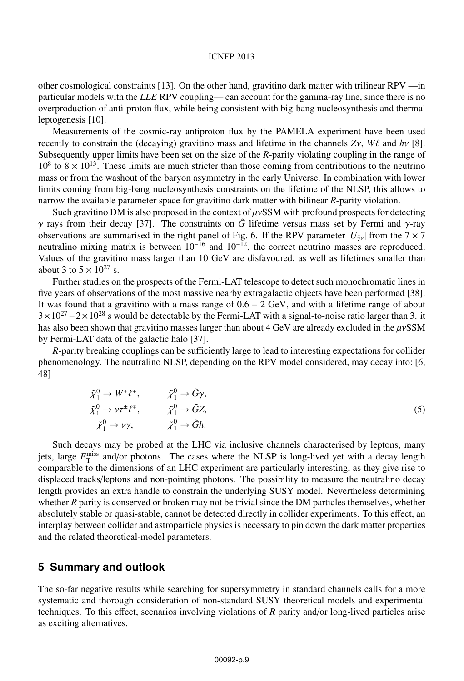other cosmological constraints [13]. On the other hand, gravitino dark matter with trilinear RPV —in particular models with the *LLE* RPV coupling— can account for the gamma-ray line, since there is no overproduction of anti-proton flux, while being consistent with big-bang nucleosynthesis and thermal leptogenesis [10].

Measurements of the cosmic-ray antiproton flux by the PAMELA experiment have been used recently to constrain the (decaying) gravitino mass and lifetime in the channels  $Zv$ ,  $W\ell$  and  $hv$  [8]. Subsequently upper limits have been set on the size of the *R*-parity violating coupling in the range of  $10^8$  to  $8 \times 10^{13}$ . These limits are much stricter than those coming from contributions to the neutrino mass or from the washout of the baryon asymmetry in the early Universe. In combination with lower limits coming from big-bang nucleosynthesis constraints on the lifetime of the NLSP, this allows to narrow the available parameter space for gravitino dark matter with bilinear *R*-parity violation.

Such gravitino DM is also proposed in the context of  $\mu v$ SSM with profound prospects for detecting  $γ$  rays from their decay [37]. The constraints on  $\tilde{G}$  lifetime versus mass set by Fermi and γ-ray observations are summarised in the right panel of Fig. 6. If the RPV parameter  $|U_{\tilde{\gamma}y}|$  from the 7 × 7 neutralino mixing matrix is between  $10^{-16}$  and  $10^{-12}$ , the correct neutrino masses are reproduced. Values of the gravitino mass larger than 10 GeV are disfavoured, as well as lifetimes smaller than about 3 to  $5 \times 10^{27}$  s.

Further studies on the prospects of the Fermi-LAT telescope to detect such monochromatic lines in five years of observations of the most massive nearby extragalactic objects have been performed [38]. It was found that a gravitino with a mass range of 0.6 − 2 GeV, and with a lifetime range of about  $3 \times 10^{27} - 2 \times 10^{28}$  s would be detectable by the Fermi-LAT with a signal-to-noise ratio larger than 3. it has also been shown that gravitino masses larger than about 4 GeV are already excluded in the  $\mu$ vSSM by Fermi-LAT data of the galactic halo [37].

*R*-parity breaking couplings can be sufficiently large to lead to interesting expectations for collider phenomenology. The neutralino NLSP, depending on the RPV model considered, may decay into: [6, 48]

$$
\tilde{\chi}_1^0 \to W^{\pm} \ell^{\mp}, \qquad \tilde{\chi}_1^0 \to \tilde{G} \gamma, \n\tilde{\chi}_1^0 \to \nu \tau^{\pm} \ell^{\mp}, \qquad \tilde{\chi}_1^0 \to \tilde{G} Z, \n\tilde{\chi}_1^0 \to \nu \gamma, \qquad \tilde{\chi}_1^0 \to \tilde{G} h.
$$
\n(5)

Such decays may be probed at the LHC via inclusive channels characterised by leptons, many jets, large  $E_{\rm T}^{\rm miss}$  and/or photons. The cases where the NLSP is long-lived yet with a decay length comparable to the dimensions of an LHC experiment are particularly interesting, as they give rise to displaced tracks/leptons and non-pointing photons. The possibility to measure the neutralino decay length provides an extra handle to constrain the underlying SUSY model. Nevertheless determining whether *R* parity is conserved or broken may not be trivial since the DM particles themselves, whether absolutely stable or quasi-stable, cannot be detected directly in collider experiments. To this effect, an interplay between collider and astroparticle physics is necessary to pin down the dark matter properties and the related theoretical-model parameters.

### **5 Summary and outlook**

The so-far negative results while searching for supersymmetry in standard channels calls for a more systematic and thorough consideration of non-standard SUSY theoretical models and experimental techniques. To this effect, scenarios involving violations of *R* parity and/or long-lived particles arise as exciting alternatives.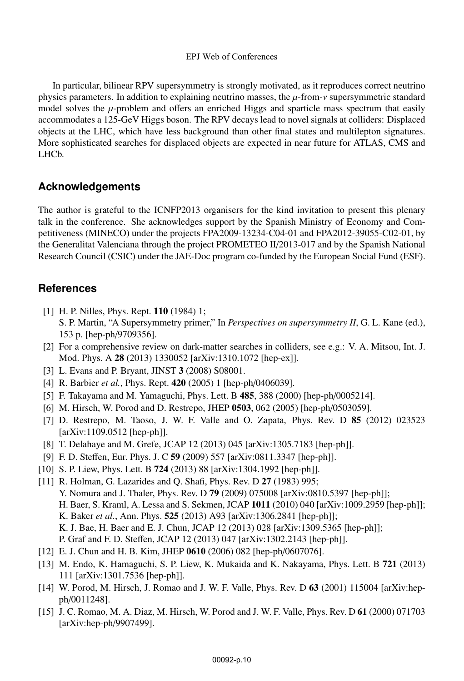In particular, bilinear RPV supersymmetry is strongly motivated, as it reproduces correct neutrino physics parameters. In addition to explaining neutrino masses, the  $\mu$ -from- $\nu$  supersymmetric standard model solves the  $\mu$ -problem and offers an enriched Higgs and sparticle mass spectrum that easily accommodates a 125-GeV Higgs boson. The RPV decays lead to novel signals at colliders: Displaced objects at the LHC, which have less background than other final states and multilepton signatures. More sophisticated searches for displaced objects are expected in near future for ATLAS, CMS and LHCb.

# **Acknowledgements**

The author is grateful to the ICNFP2013 organisers for the kind invitation to present this plenary talk in the conference. She acknowledges support by the Spanish Ministry of Economy and Competitiveness (MINECO) under the projects FPA2009-13234-C04-01 and FPA2012-39055-C02-01, by the Generalitat Valenciana through the project PROMETEO II/2013-017 and by the Spanish National Research Council (CSIC) under the JAE-Doc program co-funded by the European Social Fund (ESF).

# **References**

- [1] H. P. Nilles, Phys. Rept. **110** (1984) 1; S. P. Martin, "A Supersymmetry primer," In *Perspectives on supersymmetry II*, G. L. Kane (ed.), 153 p. [hep-ph/9709356].
- [2] For a comprehensive review on dark-matter searches in colliders, see e.g.: V. A. Mitsou, Int. J. Mod. Phys. A 28 (2013) 1330052 [arXiv:1310.1072 [hep-ex]].
- [3] L. Evans and P. Bryant, JINST 3 (2008) S08001.
- [4] R. Barbier *et al.*, Phys. Rept. 420 (2005) 1 [hep-ph/0406039].
- [5] F. Takayama and M. Yamaguchi, Phys. Lett. B 485, 388 (2000) [hep-ph/0005214].
- [6] M. Hirsch, W. Porod and D. Restrepo, JHEP 0503, 062 (2005) [hep-ph/0503059].
- [7] D. Restrepo, M. Taoso, J. W. F. Valle and O. Zapata, Phys. Rev. D 85 (2012) 023523 [arXiv:1109.0512 [hep-ph]].
- [8] T. Delahaye and M. Grefe, JCAP 12 (2013) 045 [arXiv:1305.7183 [hep-ph]].
- [9] F. D. Steffen, Eur. Phys. J. C 59 (2009) 557 [arXiv:0811.3347 [hep-ph]].
- [10] S. P. Liew, Phys. Lett. B 724 (2013) 88 [arXiv:1304.1992 [hep-ph]].
- [11] R. Holman, G. Lazarides and Q. Shafi, Phys. Rev. D 27 (1983) 995; Y. Nomura and J. Thaler, Phys. Rev. D 79 (2009) 075008 [arXiv:0810.5397 [hep-ph]]; H. Baer, S. Kraml, A. Lessa and S. Sekmen, JCAP 1011 (2010) 040 [arXiv:1009.2959 [hep-ph]]; K. Baker *et al.*, Ann. Phys. 525 (2013) A93 [arXiv:1306.2841 [hep-ph]]; K. J. Bae, H. Baer and E. J. Chun, JCAP 12 (2013) 028 [arXiv:1309.5365 [hep-ph]]; P. Graf and F. D. Steffen, JCAP 12 (2013) 047 [arXiv:1302.2143 [hep-ph]].
- [12] E. J. Chun and H. B. Kim, JHEP 0610 (2006) 082 [hep-ph/0607076].
- [13] M. Endo, K. Hamaguchi, S. P. Liew, K. Mukaida and K. Nakayama, Phys. Lett. B 721 (2013) 111 [arXiv:1301.7536 [hep-ph]].
- [14] W. Porod, M. Hirsch, J. Romao and J. W. F. Valle, Phys. Rev. D 63 (2001) 115004 [arXiv:hepph/0011248].
- [15] J. C. Romao, M. A. Diaz, M. Hirsch, W. Porod and J. W. F. Valle, Phys. Rev. D 61 (2000) 071703 [arXiv:hep-ph/9907499].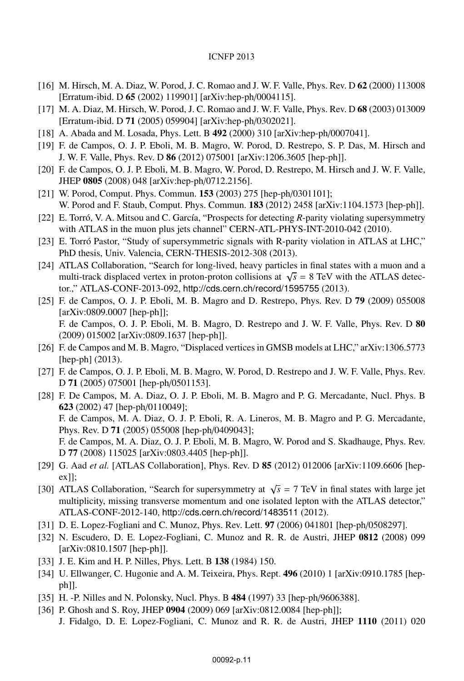- [16] M. Hirsch, M. A. Diaz, W. Porod, J. C. Romao and J. W. F. Valle, Phys. Rev. D 62 (2000) 113008 [Erratum-ibid. D 65 (2002) 119901] [arXiv:hep-ph/0004115].
- [17] M. A. Diaz, M. Hirsch, W. Porod, J. C. Romao and J. W. F. Valle, Phys. Rev. D 68 (2003) 013009 [Erratum-ibid. D 71 (2005) 059904] [arXiv:hep-ph/0302021].
- [18] A. Abada and M. Losada, Phys. Lett. B 492 (2000) 310 [arXiv:hep-ph/0007041].
- [19] F. de Campos, O. J. P. Eboli, M. B. Magro, W. Porod, D. Restrepo, S. P. Das, M. Hirsch and J. W. F. Valle, Phys. Rev. D 86 (2012) 075001 [arXiv:1206.3605 [hep-ph]].
- [20] F. de Campos, O. J. P. Eboli, M. B. Magro, W. Porod, D. Restrepo, M. Hirsch and J. W. F. Valle, JHEP 0805 (2008) 048 [arXiv:hep-ph/0712.2156].
- [21] W. Porod, Comput. Phys. Commun. **153** (2003) 275 [hep-ph/0301101]; W. Porod and F. Staub, Comput. Phys. Commun. 183 (2012) 2458 [arXiv:1104.1573 [hep-ph]].
- [22] E. Torró, V. A. Mitsou and C. García, "Prospects for detecting *R*-parity violating supersymmetry with ATLAS in the muon plus jets channel" CERN-ATL-PHYS-INT-2010-042 (2010).
- [23] E. Torró Pastor, "Study of supersymmetric signals with R-parity violation in ATLAS at LHC," PhD thesis, Univ. Valencia, CERN-THESIS-2012-308 (2013).
- [24] ATLAS Collaboration, "Search for long-lived, heavy particles in final states with a muon and a multi-track displaced vertex in proton-proton collisions at  $\sqrt{s}$  = 8 TeV with the ATLAS detector.," ATLAS-CONF-2013-092, http://cds.cern.ch/record/1595755 (2013).
- [25] F. de Campos, O. J. P. Eboli, M. B. Magro and D. Restrepo, Phys. Rev. D 79 (2009) 055008 [arXiv:0809.0007 [hep-ph]]; F. de Campos, O. J. P. Eboli, M. B. Magro, D. Restrepo and J. W. F. Valle, Phys. Rev. D 80 (2009) 015002 [arXiv:0809.1637 [hep-ph]].
- [26] F. de Campos and M. B. Magro, "Displaced vertices in GMSB models at LHC," arXiv:1306.5773 [hep-ph] (2013).
- [27] F. de Campos, O. J. P. Eboli, M. B. Magro, W. Porod, D. Restrepo and J. W. F. Valle, Phys. Rev. <sup>D</sup> 71 (2005) 075001 [hep-ph/0501153].
- [28] F. De Campos, M. A. Diaz, O. J. P. Eboli, M. B. Magro and P. G. Mercadante, Nucl. Phys. B 623 (2002) 47 [hep-ph/0110049]; F. de Campos, M. A. Diaz, O. J. P. Eboli, R. A. Lineros, M. B. Magro and P. G. Mercadante, Phys. Rev. D 71 (2005) 055008 [hep-ph/0409043]; F. de Campos, M. A. Diaz, O. J. P. Eboli, M. B. Magro, W. Porod and S. Skadhauge, Phys. Rev. <sup>D</sup> 77 (2008) 115025 [arXiv:0803.4405 [hep-ph]].
- [29] G. Aad *et al.* [ATLAS Collaboration], Phys. Rev. D 85 (2012) 012006 [arXiv:1109.6606 [hepex]];
- [30] ATLAS Collaboration, "Search for supersymmetry at  $\sqrt{s}$  = 7 TeV in final states with large jet multiplicity, missing transverse momentum and one isolated lepton with the ATLAS detector," ATLAS-CONF-2012-140, http://cds.cern.ch/record/1483511 (2012).
- [31] D. E. Lopez-Fogliani and C. Munoz, Phys. Rev. Lett. 97 (2006) 041801 [hep-ph/0508297].
- [32] N. Escudero, D. E. Lopez-Fogliani, C. Munoz and R. R. de Austri, JHEP 0812 (2008) 099 [arXiv:0810.1507 [hep-ph]].
- [33] J. E. Kim and H. P. Nilles, Phys. Lett. B 138 (1984) 150.
- [34] U. Ellwanger, C. Hugonie and A. M. Teixeira, Phys. Rept. 496 (2010) 1 [arXiv:0910.1785 [hepph]].
- [35] H. -P. Nilles and N. Polonsky, Nucl. Phys. B 484 (1997) 33 [hep-ph/9606388].
- [36] P. Ghosh and S. Roy, JHEP 0904 (2009) 069 [arXiv:0812.0084 [hep-ph]];
	- J. Fidalgo, D. E. Lopez-Fogliani, C. Munoz and R. R. de Austri, JHEP 1110 (2011) 020